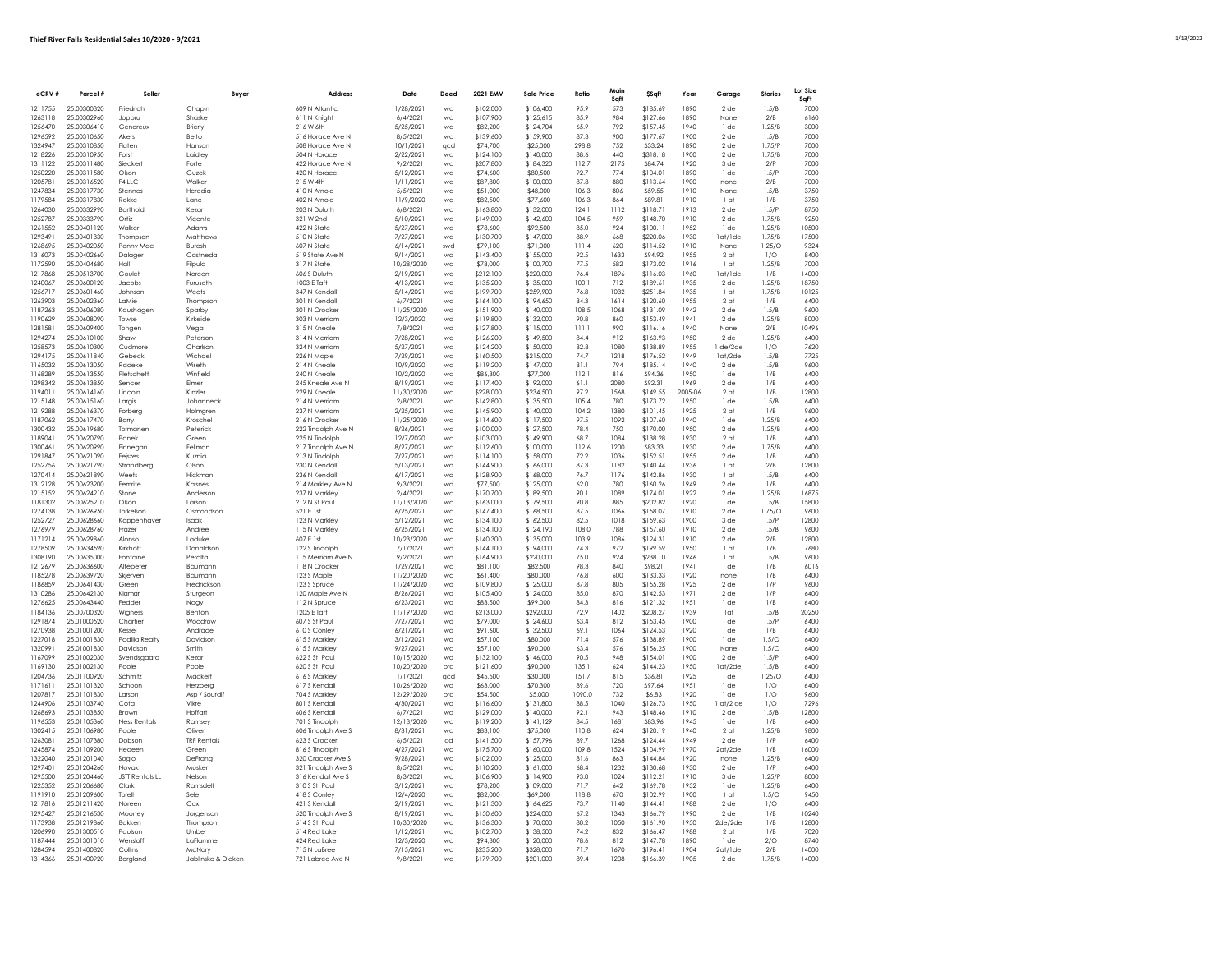| eCRV#              | Parcel #                   | Seller                  | Buver                 | Address                              | Date                    | Deed     | 2021 EMV               | Sale Price             | Ratio         | Main<br>Saft | \$Sqft               | Year         | Garage                  | <b>Stories</b> | Lot Size<br>SqFt |
|--------------------|----------------------------|-------------------------|-----------------------|--------------------------------------|-------------------------|----------|------------------------|------------------------|---------------|--------------|----------------------|--------------|-------------------------|----------------|------------------|
| 1211755            | 25.00300320                | Friedrich               | Chapin                | 609 N Atlantic                       | 1/28/2021               | wd       | \$102,000              | \$106,400              | 95.9          | 573          | \$185.69             | 1890         | $2$ de                  | 1.5/B          | 7000             |
| 1263118            | 25.00302960                | Joppru                  | Shaske                | 611 N Knight                         | 6/4/2021                | wd       | \$107,900              | \$125.615              | 85.9          | 984          | \$127.66             | 1890         | None                    | 2/B            | 6160             |
| 1256470            | 25.00306410                | Genereux                | Brierly               | 216 W 6th                            | 5/25/2021               | wd       | \$82,200               | \$124,704              | 65.9          | 792          | \$157.45             | 1940         | 1 de                    | 1.25/B         | 3000             |
| 1296592            | 25.00310650                | Akers                   | Beito                 | 516 Horace Ave N                     | 8/5/2021                | wd       | \$139,600              | \$159,900              | 87.3          | 900          | \$177.67             | 1900         | 2 <sub>de</sub>         | 1.5/B          | 7000             |
| 1324947            | 25.00310850                | Flater                  | Hanson                | 508 Horace Ave N                     | 10/1/2021               | acd      | \$74,700               | \$25,000               | 298.8         | 752          | \$33.24              | 1890         | $2$ de                  | 1.75/P         | <b>7000</b>      |
| 1218226            | 25.00310950                | Forst                   | Laidley               | 504 N Horace                         | 2/22/2021               | wd       | \$124,100              | \$140,000              | 88.6          | 440          | \$318.18             | 1900         | 2 <sub>de</sub>         | 1.75/B         | 7000             |
| 1311122            | 25.00311480                | Siecker                 | Forte                 | 422 Horace Ave N                     | 9/2/2021                | wd       | \$207,800              | \$184,320              | 112.7         | 2175         | \$84.74              | 1920         | 3 de                    | 2/P            | 7000             |
| 1250220            | 25.00311580                | Okon                    | Guzek                 | 420 N Horace                         | 5/12/2021               | wd       | \$74,600               | \$80,500               | 92.7          | 774          | \$104.01             | 1890         | 1 de                    | 1.5/P          | 7000             |
| 1205781            | 25.00316520                | F4 LLC                  | Walker                | 215 W 4th                            | 1/11/2021               | wd       | \$87,800               | \$100,000              | 87.8          | 880          | \$113.64             | 1900         | none                    | 2/B            | 7000             |
| 1247834            | 25.00317730                | Stennes                 | Heredia               | 410 N Arnold                         | 5/5/2021                | wd       | \$51,000               | \$48,000               | 106.3         | 806          | \$59.55              | 1910         | None                    | 1.5/R          | 3750             |
| 1179584            | 25.00317830                | Rokke                   | Lane                  | 402 N Arnold                         | 11/9/2020               | wd       | \$82,500               | \$77,600               | 106.3         | 864          | \$89.81              | 1910         | 1 <sub>ct</sub>         | 1/B            | 3750             |
| 1264030            | 25.00332990                | <b>Barthold</b>         | Kezar                 | 203 N Duluth                         | 6/8/2021                | wd       | \$163,800              | \$132,000              | 124.1         | 1112         | \$118.71             | 1913         | $2$ de                  | 1.5/P          | 8750             |
| 1252787            | 25.00333790                | Ortiz                   | Vicente               | 321 W 2nd                            | 5/10/2021               | wd       | \$149,000              | \$142,600              | 104.5         | 959          | \$148.70             | 1910         | 2 <sub>de</sub>         | 1.75/B         | 9250             |
| 1261552            | 25.00401120                | Walker                  | Adams                 | 422 N State                          | 5/27/2021               | wd       | \$78,600               | \$92,500               | 85.0          | 924          | \$100.11             | 1952         | 1 de                    | 1.25/B         | 10500            |
| 1293491            | 25.00401330                | Thompson                | Matthews              | 510 N State                          | 7/27/2021               | wd       | \$130,700              | \$147,000              | 88.9          | 668          | \$220.06             | 1930         | 1at/1de                 | 1.75/B         | 17500            |
| 1268695            | 25.00402050                | Penny Mac               | Buresh                | 607 N State                          | 6/14/2021               | swd      | \$79,100               | \$71,000               | 111.4         | 620          | \$114.52             | 1910         | None                    | 1.25/O         | 9324             |
| 1316073            | 25.00402660                | Dalager                 | Castneda              | 519 State Ave N                      | 9/14/2021               | wd       | \$143,400              | \$155,000              | 92.5          | 1633         | \$94.92              | 1955         | 2 <sub>at</sub>         | 1/O            | 8400             |
| 1172590            | 25.00404680                | Hall                    | Filoula               | 317 N State                          | 10/28/2020              | wd       | \$78,000               | \$100,700              | 77.5          | 582          | \$173.02             | 1916         | 1 at                    | 1.25/B         | 7000             |
| 1217868            | 25.00513700                | Goulet                  | Noreen                | 606 S Duluth                         | 2/19/2021               | wd       | \$212,100              | \$220,000              | 96.4          | 1896         | \$116.03             | 1960         | lat/lde                 | 1/B            | 14000            |
| 1240067            | 25.00600120                | Jacobs                  | Furuseth              | 1003 E Taft                          | 4/13/2021               | wd       | \$135,200              | \$135,000              | 100.1         | 712          | \$189.61             | 1935         | 2 <sub>de</sub>         | 1.25/B         | 18750            |
| 1256717<br>1263903 | 25.00601460<br>25.00602360 | Johnson<br>LaMie        | Weets<br>Thompson     | 347 N Kendall<br>301 N Kendall       | 5/14/2021               | wd<br>wd | \$199,700              | \$259,900              | 76.8<br>84.3  | 1032<br>1614 | \$251.84<br>\$120.60 | 1935<br>1955 | 1 at<br>2 <sub>ct</sub> | 1.75/B<br>1/B  | 10125<br>6400    |
| 1187263            | 25.00606080                | Kaushaaen               | Sparby                | 301 N Crocker                        | 6/7/2021<br>11/25/2020  | wd       | \$164,100<br>\$151,900 | \$194,650<br>\$140,000 | 108.5         | 1068         | \$131.09             | 1942         | 2de                     | 1.5/B          | 9600             |
| 1190629            | 25.00608090                | Towse                   | Kirkeide              | 303 N Merriam                        | 12/3/2020               | wd       | \$119,800              | \$132,000              | 90.8          | 860          | \$153.49             | 1941         | 2de                     | 1.25/B         | 8000             |
| 1281581            | 25.00609400                | Tongen                  | Vega                  | 315 N Kneale                         | 7/8/2021                | wd       | \$127,800              | \$115,000              | 111.1         | 990          | \$116.16             | 1940         | None                    | 2/B            | 10496            |
| 1294274            | 25.00610100                | Shaw                    | Peterson              | 314 N Merriam                        | 7/28/2021               | wd       | \$126,200              | \$149,500              | 84.4          | 912          | \$163.93             | 1950         | $2$ de                  | 1.25/B         | 6400             |
| 1258573            | 25.00610300                | Cudmore                 | Charlson              | 324 N Merriam                        | 5/27/2021               | wd       | \$124,200              | \$150,000              | 82.8          | 1080         | \$138.89             | 1955         | 1 de/2de                | 1/0            | 7620             |
| 1294175            | 25.00611840                | Gebeck                  | Wichael               | 226 N Maple                          | 7/29/2021               | wd       | \$160,500              | \$215,000              | 74.7          | 1218         | \$176.52             | 1949         | lat/2de                 | 1.5/B          | 7725             |
| 1165032            | 25,00613050                | Radeke                  | Wiseth                | 214 N Kneale                         | 10/9/2020               | wd       | \$119,200              | \$147,000              | 81.1          | 794          | \$185.14             | 1940         | 2 <sub>de</sub>         | 1.5/B          | 9600             |
| 1168289            | 25.00613550                | Pletschett              | Winfield              | 240 N Kneale                         | 10/2/2020               | wd       | \$86.300               | \$77,000               | 112.1         | 816          | \$94.36              | 1950         | $1$ de                  | 1/B            | 6400             |
| 1298342            | 25.00613850                | Sencer                  | Elmer                 | 245 Kneale Ave N                     | 8/19/2021               | wd       | \$117,400              | \$192,000              | 61.1          | 2080         | \$92.31              | 1969         | 2 <sub>de</sub>         | 1/B            | 6400             |
| 1194011            | 25.00614160                | Lincoln                 | Kinzle                | 229 N Kneale                         | 11/30/2020              | wd       | \$228,000              | \$234.500              | 97.2          | 1568         | \$149.55             | 2005-06      | 2 <sub>ct</sub>         | 1/B            | 12800            |
| 1215148            | 25,00615160                | Largis                  | Johanneck             | 214 N Merriam                        | 2/8/2021                | wd       | \$142,800              | \$135,500              | 105.4         | 780          | \$173.72             | 1950         | 1 de                    | 1.5/B          | 6400             |
| 1219288            | 25.00616370                | Forberg                 | Holmgren              | 237 N Merriam                        | 2/25/2021               | wd       | \$145,900              | \$140,000              | 104.2         | 1380         | \$101.45             | 1925         | 2 <sub>at</sub>         | 1/B            | 9600             |
| 1187062            | 25.00617470                | Barry                   | Kroschel              | 216 N Crocker                        | 11/25/2020              | wd       | \$114,600              | \$117,500              | 97.5          | 1092         | \$107.60             | 1940         | 1 de                    | 1.25/R         | 6400             |
| 1300432            | 25.00619680                | Tormanen                | Peterick              | 222 Tindolph Ave N                   | 8/26/2021               | wd       | \$100,000              | \$127,500              | 78.4          | 750          | \$170.00             | 1950         | 2 <sub>de</sub>         | 1.25/B         | 6400             |
| 1189041            | 25.00620790                | Panek                   | Green                 | 225 N Tindolph                       | 12/7/2020               | wd       | \$103,000              | \$149.900              | 68.7          | 1084         | \$138.28             | 1930         | 2 <sub>nt</sub>         | 1/R            | 6400             |
| 1300461            | 25.00620990                | Finnegan                | Fellman               | 217 Tindolph Ave N                   | 8/27/2021               | wd       | \$112,600              | \$100,000              | 112.6         | 1200         | \$83.33              | 1930         | 2de                     | 1.75/B         | 6400             |
| 1291847            | 25.00621090                | Fejszes                 | Kuznia                | 213 N Tindolph                       | 7/27/2021               | wd       | \$114,100              | \$158,000              | 72.2          | 1036         | \$152.51             | 1955         | 2 <sub>de</sub>         | 1/B            | 6400             |
| 1252756            | 25.00621790                | Strandberg              | Olson                 | 230 N Kendall                        | 5/13/2021               | wd       | \$144,900              | \$166,000              | 87.3          | 1182         | \$140.44             | 1936         | 1 <sub>ct</sub>         | 2/B            | 12800            |
| 1270414            | 25,00621890                | Weets                   | Hickman               | 236 N Kendall                        | 6/17/2021               | wd       | \$128,900              | \$168,000              | 76.7          | 1176         | \$142.86             | 1930         | 1 at                    | 1.5/B          | 6400             |
| 1312128            | 25.00623200                | Femrite                 | Kalsnes               | 214 Markley Ave N                    | 9/3/2021                | wd       | \$77,500               | \$125,000              | 62.0          | 780          | \$160.26             | 1949         | 2de                     | 1/B            | 6400             |
| 1215152            | 25.00624210                | Stone                   | Anderson              | 237 N Markley                        | 2/4/2021                | wd       | \$170,700              | \$189,500              | 90.1          | 1089         | \$174.01             | 1922         | $2$ de                  | 1.25/B         | 16875            |
| 1181302            | 25.00625210                | Olson                   | Larson                | 212 N St Paul                        | 11/13/2020              | wd       | \$163,000              | \$179,500              | 90.8          | 885          | \$202.82             | 1920         | 1 de                    | 1.5/B          | 1,5800           |
| 1274138            | 25.00626950                | Torkelson               | Osmondson             | 521 E 1st                            | 6/25/2021               | wd       | \$147.400              | \$168,500              | 87.5          | 1066         | \$158.07             | 1910         | 2 <sub>de</sub>         | 1.75/O         | 9600             |
| 1252727            | 25.00628660                | Koppenhaver             | Isaak                 | 123 N Markley                        | 5/12/2021               | wd       | \$134,100              | \$162,500              | 82.5          | 1018         | \$159.63             | 1900         | 3 <sub>de</sub>         | 1.5/P          | 12800            |
| 1276979            | 25.00628760                | Frazer                  | Andree                | 115 N Markley                        | 6/25/2021               | wd       | \$134,100              | \$124,190              | 108.0         | 788          | \$157.60             | 1910         | 2 <sub>de</sub>         | 1.5/B          | 9600             |
| 1171214            | 25.00629860                | Alonso                  | Laduke                | 607 E 1st                            | 10/23/2020              | wd       | \$140,300              | \$135,000              | 103.9         | 1086         | \$124.31             | 1910         | 2de                     | 2/B            | 12800            |
| 1278509<br>1308190 | 25.00634590<br>25.00635000 | Kirkhoff<br>Fontaine    | Donaldsor<br>Peralta  | 122 S Tindolph<br>115 Merriam Ave N  | 7/1/2021<br>9/2/2021    | wd<br>wd | \$144,100<br>\$164,900 | \$194,000<br>\$220,000 | 74.3<br>75.0  | 972<br>924   | \$199.59<br>\$238.10 | 1950<br>1946 | 1 at<br>1 <sub>ct</sub> | 1/B<br>1.5/B   | 7680<br>9600     |
| 1212679            | 25.00636600                | Altepeter               | Baumann               | 118 N Crocker                        | 1/29/2021               | wd       | \$81,100               | \$82,500               | 98.3          | 840          | \$98.21              | 1941         | 1 de                    | 1/B            | 6016             |
| 1185278            | 25.00639720                | Skierven                | Baumann               | 123 S Maple                          | 11/20/2020              | wd       | \$61.400               | \$80,000               | 76.8          | 600          | \$133.33             | 1920         | none                    | 1/R            | 6400             |
| 1186859            | 25.00641430                | Green                   | Fredricksor           | 123 S Spruce                         | 11/24/2020              | wd       | \$109,800              | \$125,000              | 87.8          | 805          | \$155.28             | 1925         | 2de                     | 1/P            | 9600             |
| 1310286            | 25.00642130                | Klamar                  | Sturgeon              | 120 Maple Ave N                      | 8/26/2021               | wd       | \$105.400              | \$124,000              | 85.0          | 870          | \$142.53             | 1971         | $2$ de                  | 1/P            | 6400             |
| 1276625            | 25.00643440                | Fedder                  | Nagy                  | 112 N Spruce                         | 6/23/2021               | wd       | \$83,500               | \$99,000               | 84.3          | 816          | \$121.32             | 1951         | 1 de                    | 1/B            | 6400             |
| 1184136            | 25.00700320                | Wigness                 | Benton                | 1205 E Toft                          | 11/19/2020              | wd       | \$213,000              | \$292.000              | 72.9          | 1402         | \$208.27             | 1939         | lat                     | 1.5/B          | 20250            |
| 1291874            | 25.01000520                | Chartier                | Woodrow               | 607 S St Paul                        | 7/27/2021               | wd       | \$79,000               | \$124,600              | 63.4          | 812          | \$153.45             | 1900         | 1 de                    | 1.5/F          | 6400             |
| 1270938            | 25.01001200                | Kessel                  | Andrade               | 610 S Conley                         | 6/21/2021               | wd       | \$91,600               | \$132,500              | 69.1          | 1064         | \$124.53             | 1920         | 1 de                    | 1/B            | 6400             |
| 1227018            | 25.01001830                | Padilla Realty          | Davidson              | 615 S Markley                        | 3/12/2021               | wd       | \$57,100               | \$80,000               | 71.4          | 576          | \$138.89             | 1900         | 1 de                    | 1.5/O          | 6400             |
| 1320991            | 25,01001830                | Davidson                | Smith                 | 615 S Markley                        | 9/27/2021               | wd       | \$57,100               | \$90,000               | 63.4          | 576          | \$1.56.25            | 1900         | None                    | 1.5/C.         | 6400             |
| 1167099            | 25.01002030                | Svendsgaard             | Kezar                 | 622 S St. Paul                       | 10/15/2020              | wd       | \$132.100              | \$146,000              | 90.5          | 948          | \$154.01             | 1900         | 2de                     | 1.5/F          | 6400             |
| 1169130            | 25.01002130                | Poole                   | Poole                 | 620 S.St. Paul                       | 10/20/2020              | prd      | \$121,600              | \$90,000               | 135.1         | 624          | \$144.23             | 1950         | 1at/2de                 | 1.5/R          | 6400             |
| 1204736            | 25.01100920                | Schmitz                 | Mackert               | 616 S Markley                        | 1/1/2021                | qcd      | \$45,500               | \$30,000               | 151.7         | 815          | \$36.81              | 1925         | 1 de                    | 1.25 / C       | 6400             |
| 1171611            | 25.01101320                | Schoon                  | Herzberg              | 617 S Kendall                        | 10/26/2020              | wd       | \$63,000               | \$70,300               | 89.6          | 720          | \$97.64              | 1951         | 1 de                    | 1/O            | 6400             |
| 1207817            | 25.01101830                | Larson                  | Asp / Sourdif         | 704 S Markley                        | 12/29/2020              | prd      | \$54,500               | \$5,000                | 1090.0        | 732          | \$6.83               | 1920         | $1$ de                  | 1/O            | 9600             |
| 1244906            | 25.01103740                | Cota                    | Vikre                 | 801 S Kendall                        | 4/30/2021               | wd       | \$116,600              | \$131,800              | 88.5          | 1040         | \$126.73             | 1950         | $1$ at/2 de             | 1/O            | 7296             |
| 1268693            | 25.01103850                | Brown                   | Hoffart               | 606 S Kendall                        | 6/7/2021                | wd       | \$129,000              | \$140,000              | 92.1          | 943          | \$148.46             | 1910         | 2 <sub>de</sub>         | 1.5/B          | 12800            |
| 1196553            | 25.01105360                | <b>Ness Rentals</b>     | Ramsey                | 701 S Tindolph                       | 12/13/2020              | wd       | \$119,200              | \$141.129              | 84.5          | 1681         | \$83.96              | 1945         | 1 de                    | 1/B            | 6400             |
| 1302415            | 25.01106980                | Poole                   | Oliver                | 606 Tindolph Ave S                   | 8/31/2021               | wd       | \$83,100               | \$75,000               | 110.8         | 624          | \$120.19             | 1940         | 2 <sub>ct</sub>         | 1.25/B         | 9800             |
| 1263081            | 25.01107380                | Dobson                  | <b>TRF Rentals</b>    | 623 S Crocker                        | 6/5/2021                | cd       | \$141,500              | \$157,796              | 89.7          | 1268         | \$124.44             | 1949         | 2 <sub>de</sub>         | 1/P            | 6400             |
| 1245874            | 25.01109200                | Hedeen                  | Green                 | 816 S Tindolph                       | 4/27/2021               | wd       | \$175,700              | \$160,000              | 109.8         | 1524         | \$104.99             | 1970         | $2$ at/ $2$ de          | 1/B            | 16000            |
| 1322040            | 25.01201040                | Soglo                   | DeFrang               | 320 Crocker Ave S                    | 9/28/2021               | wd       | \$102,000              | \$125,000              | 81.6          | 863          | \$144.84             | 1920         | none                    | 1.25/B         | 6400             |
| 1297401            | 25.01204260                | Novak                   | Musker                | 321 Tindolph Ave S                   | 8/5/2021                | wd       | \$110,200              | \$161,000              | 68.4          | 1232         | \$130.68             | 1930         | 2 <sub>de</sub>         | 1/P            | 6400             |
| 1295500            | 25.01204460                | <b>JSTT Rentals LL</b>  | Nelson                | 316 Kendall Ave S                    | 8/3/2021                | wd       | \$106,900              | \$114,900              | 93.0          | 1024         | \$112.21             | 1910         | 3 de                    | 1.25/P         | 8000             |
| 1225352            | 25.01206680                | Clark                   | Ramsdell              | 310 S St. Paul                       | 3/12/2021               | wd       | \$78,200               | \$109,000              | 71.7          | 642          | \$169.78             | 1952         | 1 de                    | 1.25/B         | 6400             |
| 1191910<br>1217816 | 25.01209600<br>25.01211420 | Torell                  | Sele                  | 418 S Conley<br>421 S Kendall        | 12/4/2020<br>2/19/2021  | wd       | \$82,000<br>\$121,300  | \$69,000               | 118.8<br>73.7 | 670<br>1140  | \$102.99             | 1900<br>1988 | 1 at<br>$2$ de          | 1.5/O<br>1/0   | 9450<br>6400     |
|                    |                            | Noreen                  | Cox                   |                                      |                         | wd       |                        | \$164.625              |               |              | \$144.41             | 1990         |                         |                | 10240            |
| 1295427<br>1173938 | 25.01216530<br>25.01219860 | Mooney<br><b>Bakken</b> | Jorgenson<br>Thompson | 520 Tindolph Ave S<br>514 S St. Paul | 8/19/2021<br>10/30/2020 | wd<br>wd | \$150,600<br>\$136,300 | \$224,000<br>\$170,000 | 67.2<br>80.2  | 1343<br>1050 | \$166.79<br>\$161.90 | 1950         | $2$ de<br>2de/2de       | 1/B<br>1/R     | 12800            |
| 1206990            | 25.01300510                | Paulson                 | Umber                 | 514 Red Lake                         | 1/12/2021               | wd       | \$102,700              | \$138,500              | 74.2          | 832          | \$166.47             | 1988         | 2 <sub>ct</sub>         | 1/B            | 7020             |
| 1187444            | 25.01301010                | Wensloft                | LaFlamme              | 424 Red Lake                         | 12/3/2020               | wd       | \$94.300               | \$120,000              | 78.6          | 812          | \$147.78             | 1890         | 1 de                    | 2/0            | 8740             |
| 1284594            | 25.01400820                | Collins                 | McNary                | 715 N LaBree                         | 7/15/2021               | wd       | \$235,200              | \$328,000              | 71.7          | 1670         | \$196.41             | 1904         | 2at/1de                 | 2/B            | 14000            |
| 1314366            | 25.01400920                | Bergland                | Jablinske & Dicken    | 721 Labree Ave N                     | 9/8/2021                | wd       | \$179,700              | \$201,000              | 89.4          | 1208         | \$166.39             | 1905         | 2 de                    | 1.75/B         | 14000            |
|                    |                            |                         |                       |                                      |                         |          |                        |                        |               |              |                      |              |                         |                |                  |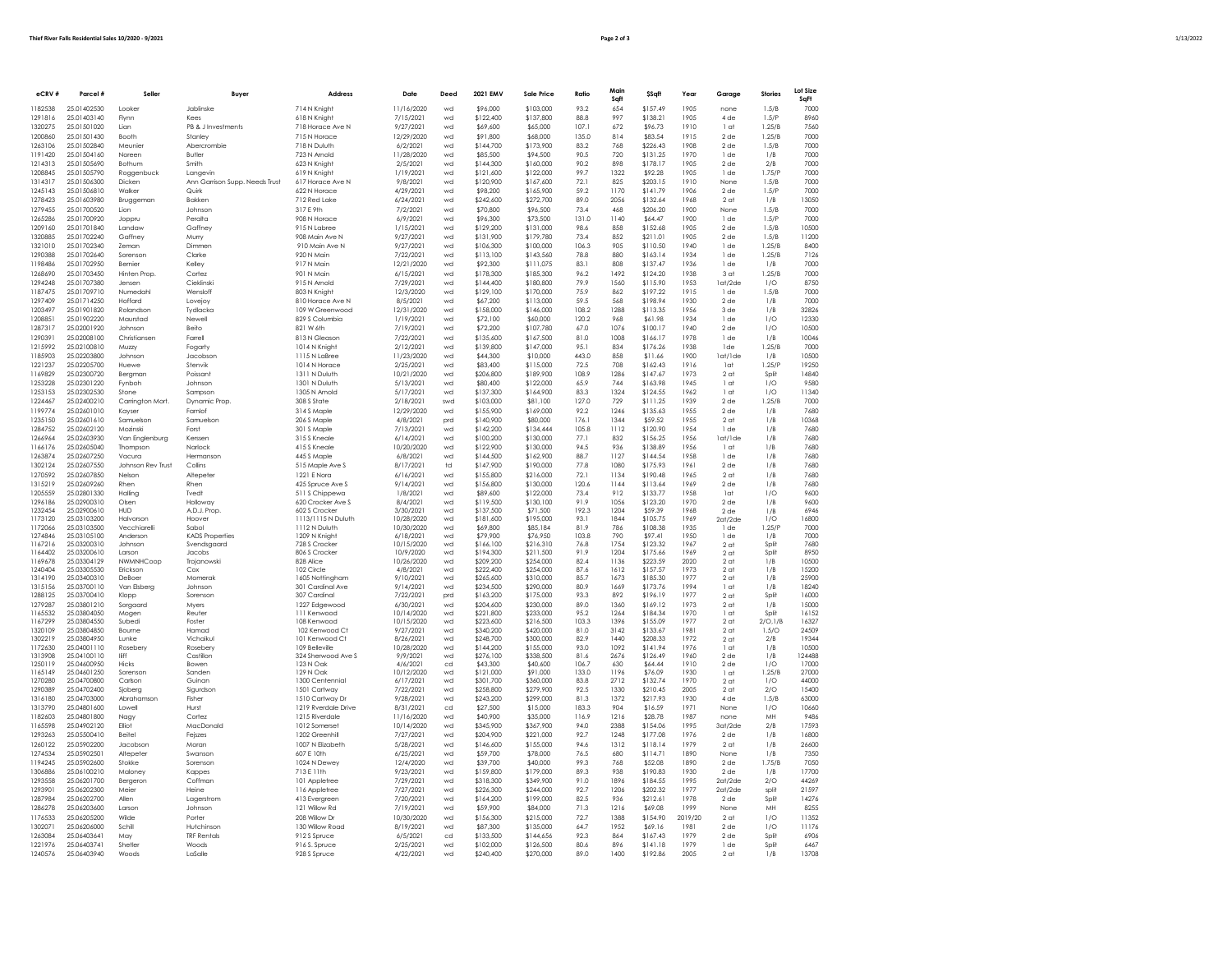| $\sim$<br>the contract of the contract of the |
|-----------------------------------------------|
|-----------------------------------------------|

| eCRV#              | Parcel #                   | Seller                     | Buyer                                      | Address                             | Date                    | Deed        | 2021 EMV               | Sale Price             | Ratio          | Main         | <b>\$Sqft</b>        | Year         | Garage                             | <b>Stories</b> | Lot Size       |
|--------------------|----------------------------|----------------------------|--------------------------------------------|-------------------------------------|-------------------------|-------------|------------------------|------------------------|----------------|--------------|----------------------|--------------|------------------------------------|----------------|----------------|
| 1182538            | 25.01402530                | Looker                     | Inblinske                                  |                                     | 11/16/2020              | wd          | \$96,000               | \$103,000              | 93.2           | Sqft<br>654  | \$157.49             | 1905         | none                               | 1.5/R          | SqFt<br>7000   |
| 1291816            | 25.01403140                | Flynn                      | Kees                                       | 714 N Knight<br>618 N Knight        | 7/15/2021               | wd          | \$122.400              | \$137,800              | 88.8           | 997          | \$138.21             | 1905         | 4 de                               | 1.5/P          | 8960           |
| 1320275            | 25.01501020                | Lian                       | PB & J Investments                         | 718 Horace Ave N                    | 9/27/2021               | wd          | \$69,600               | \$65,000               | 107.1          | 672          | \$96.73              | 1910         | 1 at                               | 1.25/B         | 7560           |
| 1200860            | 25.01501430                | Booth                      | Stanley                                    | 715 N Horace                        | 12/29/2020              | wd          | \$91,800               | \$68,000               | 135.0          | 814          | \$83.54              | 1915         | $2$ de                             | 1.25/B         | 7000           |
| 1263106            | 25.01502840                | Meunier                    | Abercrombie                                | 718 N Duluth                        | 6/2/2021                | wd          | \$144.700              | \$173,900              | 83.2           | 768          | \$226.43             | 1908         | $2$ de                             | 1.5/R          | 7000           |
| 1191420            | 25.01504160                | Noreen                     | Butler                                     | 723 N Arnold                        | 11/28/2020              | wd          | \$85,500               | \$94,500               | 90.5           | 720          | \$131.25             | 1970         | 1 de                               | 1/B            | 7000           |
| 1214313            | 25.01505690                | Bothum                     | Smith                                      | 623 N Knight                        | 2/5/2021                | wd          | \$144,300              | \$160,000              | 90.2           | 898          | \$178.17             | 1905         | 2 <sub>de</sub>                    | 2/B            | 7000           |
| 1208845            | 25.01505790<br>25.01506300 | Roggenbuck                 | Langevin<br>Ann Garrison Supp, Needs Trust | 619 N Knight<br>617 Horace Ave N    | 1/19/2021<br>9/8/2021   | wd          | \$121,600<br>\$120,900 | \$122,000<br>\$167,600 | 99.7           | 1322         | \$92.28              | 1905         | 1 de                               | 1.75/P         | 7000           |
| 1314317<br>1245143 | 25.01506810                | Dicken<br>Walker           | Quirk                                      | 622 N Horace                        | 4/29/2021               | wd<br>wd    | \$98,200               | \$165,900              | 72.1<br>59.2   | 825<br>1170  | \$203.15<br>\$141.79 | 1910<br>1906 | None<br>$2$ de                     | 1.5/B<br>1.5/P | 7000<br>7000   |
| 1278423            | 25.01603980                | Bruggeman                  | Bakken                                     | 712 Red Lake                        | 6/24/2021               | wd          | \$242.600              | \$272,700              | 89.0           | 2056         | \$132.64             | 1968         | 2 <sub>ct</sub>                    | 1/B            | 13050          |
| 1279455            | 25.01700520                | Lion                       | Johnson                                    | 317 E 9th                           | 7/2/2021                | wd          | \$70,800               | \$96,500               | 73.4           | 468          | \$206.20             | 1900         | None                               | 1.5/B          | 7000           |
| 1265286            | 25.01700920                | Joppru                     | Peralta                                    | 908 N Horace                        | 6/9/2021                | wd          | \$96,300               | \$73,500               | 131.0          | 1140         | \$64.47              | 1900         | 1 de                               | 1.5/P          | 7000           |
| 1209160            | 25.01701840                | Landaw                     | Gaffney                                    | 915 N Labree                        | 1/15/2021               | wd          | \$129,200              | \$131,000              | 98.6           | 858          | \$152.68             | 1905         | 2 <sub>de</sub>                    | 1.5/B          | 10500          |
| 1320885            | 25.01702240                | Gaffney                    | Murry                                      | 908 Main Ave N                      | 9/27/2021               | wd          | \$131,900              | \$179,780              | 73.4           | 852          | \$211.01             | 1905         | 2 <sub>de</sub>                    | 1.5/B          | 11200          |
| 1321010            | 25.01702340                | Zeman                      | Dimmen                                     | 910 Main Ave N                      | 9/27/2021               | wd          | \$106,300              | \$100,000              | 106.3          | 905          | \$110.50             | 1940         | 1 de                               | 1.25/B         | 8400           |
| 1290388<br>1198486 | 25.01702640<br>25.01702950 | Sorenson<br><b>Bernier</b> | Clarke<br>Kellev                           | 920 N Main<br>917 N Main            | 7/22/2021<br>12/21/2020 | wd<br>wd    | \$113,100<br>\$92,300  | \$143,560<br>\$111.075 | 78.8<br>83.1   | 880<br>808   | \$163.14<br>\$137.47 | 1934<br>1936 | 1 de<br>1 de                       | 1.25/B<br>1/B  | 7126<br>7000   |
| 1268690            | 25.01703450                | Hinten Prop.               | Cortez                                     | 901 N Main                          | 6/15/2021               | wd          | \$178,300              | \$185,300              | 96.2           | 1492         | \$124.20             | 1938         | 3 <sub>ct</sub>                    | 1.25/B         | <b>7000</b>    |
| 1294248            | 25.01707380                | Jensen                     | Cieklinski                                 | 915 N Arnold                        | 7/29/2021               | wd          | \$144,400              | \$180,800              | 79.9           | 1560         | \$115.90             | 1953         | 1at/2de                            | 1/O            | 8750           |
| 1187475            | 25.01709710                | Numedahl                   | Wensloft                                   | 803 N Knight                        | 12/3/2020               | wd          | \$129,100              | \$170,000              | 75.9           | 862          | \$197.22             | 1915         | 1 de                               | 1.5/B          | 7000           |
| 1297409            | 25.01714250                | Hoffard                    | Loveiov                                    | 810 Horace Ave N                    | 8/5/2021                | wd          | \$67,200               | \$113,000              | 59.5           | 568          | \$198.94             | 1930         | $2$ de                             | 1/R            | 7000           |
| 1203497            | 25.01901820                | Rolandson                  | Tvdlacka                                   | 109 W Greenwood                     | 12/31/2020              | wd          | \$158,000              | \$146,000              | 108.2          | 1288         | \$113.35             | 1956         | 3 <sub>de</sub>                    | 1/B            | 32826          |
| 1208851            | 25.01902220                | Maurstad                   | Newell                                     | 829 S Columbia                      | 1/19/2021               | wd          | \$72,100               | \$60,000               | 120.2          | 968          | \$61.98              | 1934         | 1 de                               | 1/0            | 12330          |
| 1287317<br>1290391 | 25.02001920                | Johnson                    | Beito                                      | 821 W 6th                           | 7/19/2021               | wd          | \$72,200<br>\$135,600  | \$107,780<br>\$167,500 | 67.0           | 1076<br>1008 | \$100.17             | 1940<br>1978 | $2$ de                             | 1/O<br>1/R     | 10500<br>10046 |
| 1215992            | 25.02008100<br>25.02100810 | Christiansen<br>Muzzy      | Farrell<br>Fogarty                         | 813 N Gleason<br>1014 N Knight      | 7/22/2021<br>2/12/2021  | wd<br>wd    | \$139,800              | \$147,000              | 81.0<br>95.1   | 834          | \$166.17<br>\$176.26 | 1938         | 1 de<br>1 <sub>de</sub>            | $1.25$ /B      | 7000           |
| 1185903            | 25.02203800                | Johnson                    | Jacobson                                   | 1115 N LaBree                       | 11/23/2020              | wd          | \$44,300               | \$10,000               | 443.0          | 858          | \$11.66              | 1900         | lat/lde                            | 1/B            | 10500          |
| 1221237            | 25.02205700                | Huewe                      | Stenvik                                    | 1014 N Horace                       | 2/25/2021               | wd          | \$83,400               | \$115,000              | 72.5           | 708          | \$162.43             | 1916         | lat                                | 1.25/P         | 19250          |
| 1169829            | 25.02300720                | Bergman                    | Poissant                                   | 1311 N Duluth                       | 10/21/2020              | wd          | \$206,800              | \$189,900              | 108.9          | 1286         | \$147.67             | 1973         | 2 <sub>ct</sub>                    | Split          | 14840          |
| 1253228            | 25.02301220                | Fynboh                     | Johnson                                    | 1301 N Duluth                       | 5/13/2021               | wd          | \$80,400               | \$122,000              | 65.9           | 744          | \$163.98             | 1945         | 1 at                               | 1/O            | 9580           |
| 1253153            | 25.02302530                | Stone                      | Sampson                                    | 1305 N Arnold                       | 5/17/2021               | wd          | \$137.300              | \$164,900              | 83.3           | 1324         | \$124.55             | 1962         | 1 at                               | 1/O            | 11340          |
| 1224467            | 25.02400210                | Carrington Mort.           | Dynamic Prop.                              | 308 S State                         | 2/18/2021               | swd         | \$103,000              | \$81,100               | 127.0          | 729          | \$111.25             | 1939         | $2$ de                             | 1.25/B         | 7000           |
| 1199774            | 25.02601010                | Kavser                     | Famlof                                     | 314 S Maple                         | 12/29/2020              | wd          | \$155,900              | \$169,000              | 92.2           | 1246<br>1344 | \$135.63             | 1955<br>1955 | 2 <sub>de</sub>                    | 1/B            | 7680<br>10368  |
| 1235150<br>1284752 | 25.02601610<br>25.02602120 | Samuelson<br>Mozinski      | Samuelson<br>Forst                         | 206 S Maple<br>301 S Maple          | 4/8/2021<br>7/13/2021   | prd<br>wd   | \$140,900<br>\$142.200 | \$80,000<br>\$134,444  | 176.1<br>105.8 | 1112         | \$59.52<br>\$120.90  | 1954         | 2 <sub>ct</sub><br>1 de            | 1/B<br>1/B     | 7680           |
| 1266964            | 25.02603930                | Van Englenburg             | Kerssen                                    | 315 S Kneale                        | 6/14/2021               | wd          | \$100,200              | \$130,000              | 77.1           | 832          | \$156.25             | 1956         | 1at/1de                            | 1/B            | 7680           |
| 1166176            | 25.02605040                | Thompson                   | Narlock                                    | 415 S Kneale                        | 10/20/2020              | wd          | \$122,900              | \$130,000              | 94.5           | 936          | \$138.89             | 1956         | 1 <sub>ct</sub>                    | 1/B            | 7680           |
| 1263874            | 25.02607250                | Vacura                     | Hermanson                                  | 445 S Maple                         | 6/8/2021                | wd          | \$144,500              | \$162,900              | 88.7           | 1127         | \$144.54             | 1958         | 1 de                               | 1/B            | 7680           |
| 1302124            | 25.02607550                | Johnson Rev Trust          | Collins                                    | 515 Maple Ave S                     | 8/17/2021               | $\dagger$ d | \$147.900              | \$190,000              | 77.8           | 1080         | \$175.93             | 1961         | 2de                                | 1/B            | 7680           |
| 1270592            | 25.02607850                | Nelson                     | Altepeter                                  | 1221 E Nora                         | 6/16/2021               | wd          | \$155,800              | \$216,000              | 72.1           | 1134         | \$190.48             | 1965         | 2 <sub>ct</sub>                    | 1/B            | 7680           |
| 1315219<br>1205559 | 25.02609260<br>25.02801330 | Rhen<br>Hallina            | Rhen<br>Tvedt                              | 425 Spruce Ave S<br>511 S Chippewa  | 9/14/2021<br>1/8/2021   | wd<br>wd    | \$156,800<br>\$89,600  | \$130,000<br>\$122,000 | 120.6<br>73.4  | 1144<br>912  | \$113.64<br>\$133.77 | 1969<br>1958 | $2$ de<br>1 <sub>ct</sub>          | 1/B<br>1/0     | 7680<br>9600   |
| 1296186            | 25.02900310                | Olsen                      | Holloway                                   | 620 Crocker Ave S                   | 8/4/2021                | wd          | \$119,500              | \$130,100              | 91.9           | 1056         | \$123.20             | 1970         | $2$ de                             | 1/B            | 9600           |
| 1232454            | 25.02900610                | <b>HUD</b>                 | A.D.J. Prop                                | 602 S Crocker                       | 3/30/2021               | wd          | \$137,500              | \$71,500               | 192.3          | 1204         | \$59.39              | 1968         | 2 de                               | 1/B            | 6946           |
| 1173120            | 25.03103200                | Halvorson                  | Hoover                                     | 1113/1115 N Duluth                  | 10/28/2020              | wd          | \$181,600              | \$195,000              | 93.1           | 1844         | \$105.75             | 1969         | $2$ at/ $2$ de                     | 1/0            | 16800          |
| 1172066            | 25.03103500                | Vecchiarelli               | Sabol                                      | 1112 N Duluth                       | 10/30/2020              | wd          | \$69,800               | \$85,184               | 81.9           | 786          | \$108.38             | 1935         | 1 de                               | 1.25/F         | 7000           |
| 1274846<br>1167216 | 25.03105100<br>25.03200310 | Anderson<br>Johnson        | <b>KADS Properties</b><br>Svendsgaard      | 1209 N Knight<br>728 S Crocker      | 6/18/2021<br>10/15/2020 | wd<br>wd    | \$79,900<br>\$166,100  | \$76,950<br>\$216,310  | 103.8<br>76.8  | 790<br>1754  | \$97.41<br>\$123.32  | 1950<br>1967 | 1 de<br>2 <sub>ct</sub>            | 1/B<br>Split   | 7000<br>7680   |
| 1164402            | 25.03200610                | Larson                     | Jacobs                                     | 806 S Crocker                       | 10/9/2020               | wd          | \$194.300              | \$211,500              | 91.9           | 1204         | \$175.66             | 1969         | 2 <sub>at</sub>                    | Split          | 8950           |
| 1169678            | 25.03304129                | NWMNHCoop                  | Troianowski                                | 828 Alice                           | 10/26/2020              | wd          | \$209,200              | \$254,000              | 82.4           | 1136         | \$223.59             | 2020         | 2 <sub>ct</sub>                    | 1/R            | 10500          |
| 1240404            | 25.03305530                | Erickson                   | Cox                                        | 102 Circle                          | 4/8/2021                | wd          | \$222.400              | \$254,000              | 87.6           | 1612         | \$157.57             | 1973         | 2 <sub>ct</sub>                    | 1/B            | 15200          |
| 1314190<br>1315156 | 25.03400310<br>25.03700110 | DeBoer<br>Van Elsbera      | Momerak<br>Johnson                         | 1605 Nottingham<br>301 Cardinal Ave | 9/10/2021<br>9/14/2021  | wd<br>wd    | \$265,600<br>\$234,500 | \$310,000<br>\$290,000 | 85.7<br>80.9   | 1673<br>1669 | \$185.30<br>\$173.76 | 1977<br>1994 | 2 <sub>ct</sub><br>1 <sub>ct</sub> | 1/B<br>1/B     | 25900<br>18240 |
| 1288125            | 25.03700410                | Klopp                      | Sorenson                                   | 307 Cardinal                        | 7/22/2021               | prd         | \$163,200              | \$175,000              | 93.3           | 892          | \$196.19             | 1977         | 2 <sub>ct</sub>                    | Split          | 16000          |
| 1279287            | 25.03801210                | Sorgaard                   | Myers                                      | 1227 Edgewood                       | 6/30/2021               | wd          | \$204,600              | \$230,000              | 89.0           | 1360         | \$169.12             | 1973         | 2 <sub>ct</sub>                    | 1/B            | 15000          |
| 1165532            | 25.03804050                | Mogen                      | Reuter                                     | 111 Kenwood                         | 10/14/2020              | wd          | \$221,800              | \$233,000              | 95.2           | 1264         | \$184.34             | 1970         | 1 <sub>ct</sub>                    | Split          | 16152          |
| 1167299            | 25.03804550                | Subedi                     | Foster                                     | 108 Kenwood                         | 10/15/2020              | wd          | \$223.600              | \$216,500              | 103.3          | 1396         | \$155.09             | 1977         | 2 <sub>ct</sub>                    | 2/0.1/B        | 16327          |
| 1320109<br>1302219 | 25.03804850<br>25.03804950 | Bourne<br>Lunke            | Hamad<br>Vichaikul                         | 102 Kenwood Ct<br>101 Kenwood Ct    | 9/27/2021<br>8/26/2021  | wd<br>wd    | \$340,200<br>\$248.700 | \$420,000<br>\$300,000 | 81.0<br>82.9   | 3142<br>1440 | \$133.67<br>\$208.33 | 1981<br>1972 | 2 <sub>ct</sub><br>2 <sub>ct</sub> | 1.5/O<br>2/B   | 24509<br>19344 |
| 1172630            | 25.04001110                | Rosebery                   | Rosebery                                   | 109 Belleville                      | 10/28/2020              | wd          | \$144.200              | \$155,000              | 93.0           | 1092         | \$141.94             | 1976         | 1 <sub>ct</sub>                    | 1/B            | 10500          |
| 1313908            | 25.04100110                | <b>IFff</b>                | Castillon                                  | 324 Sherwood Ave S                  | 9/9/2021                | wd          | \$276.100              | \$338,500              | 81.6           | 2676         | \$126.49             | 1960         | $2$ de                             | 1/B            | 124488         |
| 1250119            | 25.04600950                | Hicks                      | Bowen                                      | 123 N Oak                           | 4/6/2021                | $_{\rm cd}$ | \$43,300               | \$40,600               | 106.7          | 630          | \$64.44              | 1910         | 2 <sub>de</sub>                    | 1/O            | 17000          |
| 1165149<br>1270280 | 25.04601250<br>25.04700800 | Sorenson<br>Carlson        | Sanden<br>Guinar                           | 129 N Oak<br>1300 Centennial        | 10/12/2020<br>6/17/2021 | wd<br>wd    | \$121,000<br>\$301,700 | \$91,000<br>\$360,000  | 133.0<br>83.8  | 1196<br>2712 | \$76.09<br>\$132.74  | 1930<br>1970 | 1 at                               | 1.25/B<br>1/O  | 27000<br>44000 |
| 1290389            | 25.04702400                | Siobera                    | Siaurdson                                  | 1501 Cartway                        | 7/22/2021               | wd          | \$258,800              | \$279,900              | 92.5           | 1330         | \$210.45             | 2005         | 2 <sub>ct</sub><br>2 <sub>ct</sub> | 2/O            | 15400          |
| 1316180            | 25.04703000                | Abrahamson                 | Fisher                                     | 1510 Cartway Dr                     | 9/28/2021               | wd          | \$243.200              | \$299,000              | 81.3           | 1372         | \$217.93             | 1930         | 4 de                               | 1.5/B          | 63000          |
| 1313790            | 25.04801600                | Lowell                     | Hurst                                      | 1219 Rverdale Drive                 | 8/31/2021               | cd          | \$27,500               | \$15,000               | 183.3          | 904          | \$16.59              | 1971         | None                               | 1/O            | 10660          |
| 1182603            | 25.04801800                | Nagy                       | Cortez                                     | 1215 Riverdale                      | 11/16/2020              | wd          | \$40,900               | \$35,000               | 116.9          | 1216         | \$28.78              | 1987         | none                               | MH             | 9486           |
| 1165598            | 25.04902120                | Elliot                     | MacDonald                                  | 1012 Somerset                       | 10/14/2020              | wd          | \$345,900              | \$367,900              | 94.0           | 2388         | \$154.06             | 1995         | 3at/2de                            | 2/B            | 17593          |
| 1293263            | 25.05500410                | Beitel                     | Feiszes                                    | 1202 Greenhill                      | 7/27/2021               | wd          | \$204,900              | \$221,000              | 92.7           | 1248         | \$177.08             | 1976         | $2$ de                             | 1/B            | 16800          |
| 1260122            | 25.05902200                | Jacobson                   | Moran                                      | 1007 N Elizabeth                    | 5/28/2021               | wd          | \$146,600              | \$155,000              | 94.6           | 1312         | \$118.14             | 1979         | 2 <sub>ct</sub>                    | 1/B            | 26600          |
| 1274534<br>1194245 | 25.05902501<br>25.05902600 | Altepeter<br>Stokke        | Swanson<br>Sorenson                        | 607 F 10th<br>1024 N Dewey          | 6/25/2021<br>12/4/2020  | wd<br>wd    | \$59,700<br>\$39,700   | \$78,000<br>\$40,000   | 76.5<br>99.3   | 680<br>768   | \$114.71<br>\$52.08  | 1890<br>1890 | None<br>2de                        | 1/B<br>1.75/E  | 7350<br>7050   |
| 1306886            | 25.06100210                | Maloney                    | Kappes                                     | 713 E 11th                          | 9/23/2021               | wd          | \$159,800              | \$179,000              | 89.3           | 938          | \$190.83             | 1930         | $2$ de                             | 1/B            | 17700          |
| 1293558            | 25.06201700                | Bergeron                   | Coffman                                    | 101 Appletree                       | 7/29/2021               | wd          | \$318,300              | \$349,900              | 91.0           | 1896         | \$184.55             | 1995         | $2$ at/ $2$ de                     | 2/O            | 44269          |
| 1293901            | 25.06202300                | Meier                      | Heine                                      | 116 Appletree                       | 7/27/2021               | wd          | \$226,300              | \$244,000              | 92.7           | 1206         | \$202.32             | 1977         | $2$ at/ $2$ de                     | split          | 21.597         |
| 1287984            | 25.06202700                | Allen                      | Lagerstrom                                 | 413 Evergreen                       | 7/20/2021               | wd          | \$164.200              | \$199,000              | 82.5           | 936          | \$212.61             | 1978         | 2 <sub>de</sub>                    | Split          | 14276          |
| 1286278            | 25.06203600                | Larson                     | Johnson                                    | 121 Willow Rd                       | 7/19/2021               | wd          | \$59,900               | \$84,000               | 71.3           | 1216         | \$69.08              | 1999         | None                               | MH             | 8255           |
| 1176533            | 25.06205200                | Wilde                      | Porter                                     | 208 Willow Dr                       | 10/30/2020              | wd          | \$156,300              | \$215,000              | 72.7           | 1388         | \$154.90             | 2019/20      | 2 <sub>at</sub>                    | 1/O            | 11352          |
| 1302071            | 25.06206000                | Schill                     | Hutchinson                                 | 130 Willow Road                     | 8/19/2021               | wd          | \$87,300               | \$135,000              | 64.7           | 1952         | \$69.16              | 1981         | 2 de                               | 1/O            | 11176          |
| 1263084<br>1221976 | 25.06403641<br>25.06403741 | May<br>Shetler             | <b>TRF Rentals</b><br>Woods                | 912 S Spruce<br>916 S. Spruce       | 6/5/2021<br>2/25/2021   | cd<br>wd    | \$133,500<br>\$102.000 | \$144.656<br>\$126,500 | 92.3<br>80.6   | 864<br>896   | \$167.43<br>\$141.18 | 1979<br>1979 | 2 <sub>de</sub><br>1 de            | Split<br>Split | 6906<br>6467   |
| 1240576            | 25.06403940                | <b>Woods</b>               | LaSalle                                    | 928 S Spruce                        | 4/22/2021               | wd          | \$240,400              | \$270,000              | 89.0           | 1400         | \$192.86             | 2005         | 2 <sub>at</sub>                    | 1/B            | 13708          |
|                    |                            |                            |                                            |                                     |                         |             |                        |                        |                |              |                      |              |                                    |                |                |